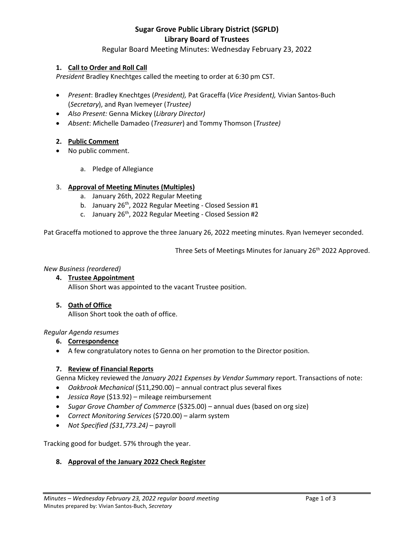# **Sugar Grove Public Library District (SGPLD) Library Board of Trustees**

# Regular Board Meeting Minutes: Wednesday February 23, 2022

# **1. Call to Order and Roll Call**

*President* Bradley Knechtges called the meeting to order at 6:30 pm CST.

- *Present*: Bradley Knechtges (*President),* Pat Graceffa (*Vice President),* Vivian Santos-Buch (*Secretary*), and Ryan Ivemeyer (*Trustee)*
- *Also Present:* Genna Mickey (*Library Director)*
- *Absent*: *M*ichelle Damadeo (*Treasurer*) and Tommy Thomson (*Trustee)*

#### **2. Public Comment**

- No public comment.
	- a. Pledge of Allegiance

#### 3. **Approval of Meeting Minutes (Multiples)**

- a. January 26th, 2022 Regular Meeting
- b. January  $26<sup>th</sup>$ , 2022 Regular Meeting Closed Session #1
- c. January 26<sup>th</sup>, 2022 Regular Meeting Closed Session #2

Pat Graceffa motioned to approve the three January 26, 2022 meeting minutes. Ryan Ivemeyer seconded.

Three Sets of Meetings Minutes for January 26<sup>th</sup> 2022 Approved.

#### *New Business (reordered)*

**4. Trustee Appointment** Allison Short was appointed to the vacant Trustee position.

#### **5. Oath of Office**

Allison Short took the oath of office.

#### *Regular Agenda resumes*

- **6. Correspondence**
- A few congratulatory notes to Genna on her promotion to the Director position.

#### **7. Review of Financial Reports**

Genna Mickey reviewed the *January 2021 Expenses by Vendor Summary* report. Transactions of note:

- *Oakbrook Mechanical* (\$11,290.00) annual contract plus several fixes
- *Jessica Raye* (\$13.92) mileage reimbursement
- *Sugar Grove Chamber of Commerce* (\$325.00) annual dues (based on org size)
- *Correct Monitoring Services* (\$720.00) alarm system
- *Not Specified (\$31,773.24)*  payroll

Tracking good for budget. 57% through the year.

#### **8. Approval of the January 2022 Check Register**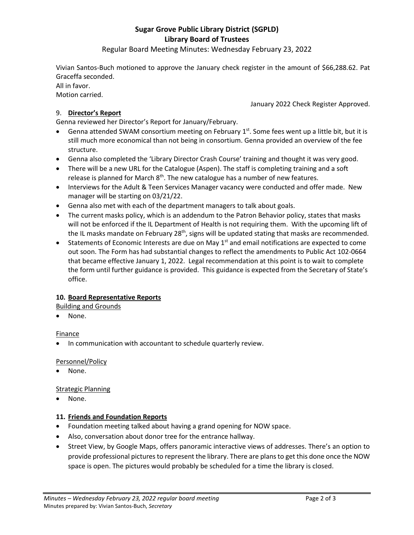# **Sugar Grove Public Library District (SGPLD) Library Board of Trustees**

Regular Board Meeting Minutes: Wednesday February 23, 2022

Vivian Santos-Buch motioned to approve the January check register in the amount of \$66,288.62. Pat Graceffa seconded.

All in favor.

Motion carried.

January 2022 Check Register Approved.

# 9. **Director's Report**

Genna reviewed her Director's Report for January/February.

- Genna attended SWAM consortium meeting on February  $1<sup>st</sup>$ . Some fees went up a little bit, but it is still much more economical than not being in consortium. Genna provided an overview of the fee structure.
- Genna also completed the 'Library Director Crash Course' training and thought it was very good.
- There will be a new URL for the Catalogue (Aspen). The staff is completing training and a soft release is planned for March 8<sup>th</sup>. The new catalogue has a number of new features.
- Interviews for the Adult & Teen Services Manager vacancy were conducted and offer made. New manager will be starting on 03/21/22.
- Genna also met with each of the department managers to talk about goals.
- The current masks policy, which is an addendum to the Patron Behavior policy, states that masks will not be enforced if the IL Department of Health is not requiring them. With the upcoming lift of the IL masks mandate on February 28<sup>th</sup>, signs will be updated stating that masks are recommended.
- Statements of Economic Interests are due on May 1<sup>st</sup> and email notifications are expected to come out soon. The Form has had substantial changes to reflect the amendments to Public Act 102-0664 that became effective January 1, 2022. Legal recommendation at this point is to wait to complete the form until further guidance is provided. This guidance is expected from the Secretary of State's office.

# **10. Board Representative Reports**

Building and Grounds

None.

#### Finance

• In communication with accountant to schedule quarterly review.

#### Personnel/Policy

None.

#### Strategic Planning

None.

#### **11. Friends and Foundation Reports**

- Foundation meeting talked about having a grand opening for NOW space.
- Also, conversation about donor tree for the entrance hallway.
- Street View, by Google Maps, offers panoramic interactive views of addresses. There's an option to provide professional pictures to represent the library. There are plans to get this done once the NOW space is open. The pictures would probably be scheduled for a time the library is closed.